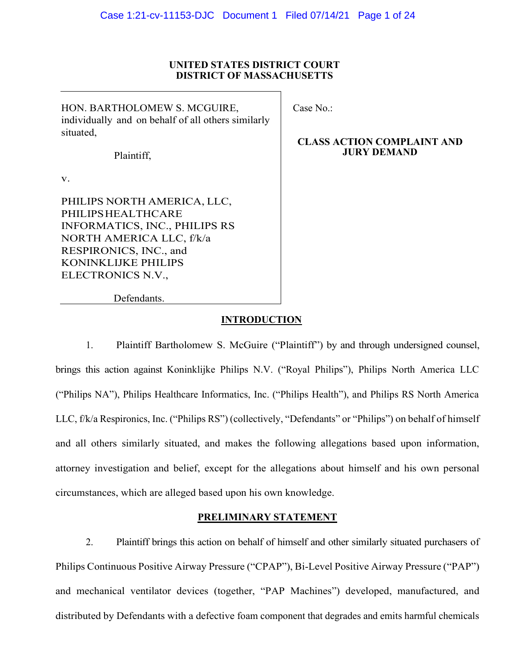# UNITED STATES DISTRICT COURT DISTRICT OF MASSACHUSETTS

HON. BARTHOLOMEW S. MCGUIRE, individually and on behalf of all others similarly situated,

Plaintiff,

v.

PHILIPS NORTH AMERICA, LLC, PHILIPS HEALTHCARE INFORMATICS, INC., PHILIPS RS NORTH AMERICA LLC, f/k/a RESPIRONICS, INC., and KONINKLIJKE PHILIPS ELECTRONICS N.V.,

Case No.:

## CLASS ACTION COMPLAINT AND JURY DEMAND

Defendants.

# **INTRODUCTION**

1. Plaintiff Bartholomew S. McGuire ("Plaintiff") by and through undersigned counsel, brings this action against Koninklijke Philips N.V. ("Royal Philips"), Philips North America LLC ("Philips NA"), Philips Healthcare Informatics, Inc. ("Philips Health"), and Philips RS North America LLC, f/k/a Respironics, Inc. ("Philips RS") (collectively, "Defendants" or "Philips") on behalf of himself and all others similarly situated, and makes the following allegations based upon information, attorney investigation and belief, except for the allegations about himself and his own personal circumstances, which are alleged based upon his own knowledge.

# PRELIMINARY STATEMENT

2. Plaintiff brings this action on behalf of himself and other similarly situated purchasers of Philips Continuous Positive Airway Pressure ("CPAP"), Bi-Level Positive Airway Pressure ("PAP") and mechanical ventilator devices (together, "PAP Machines") developed, manufactured, and distributed by Defendants with a defective foam component that degrades and emits harmful chemicals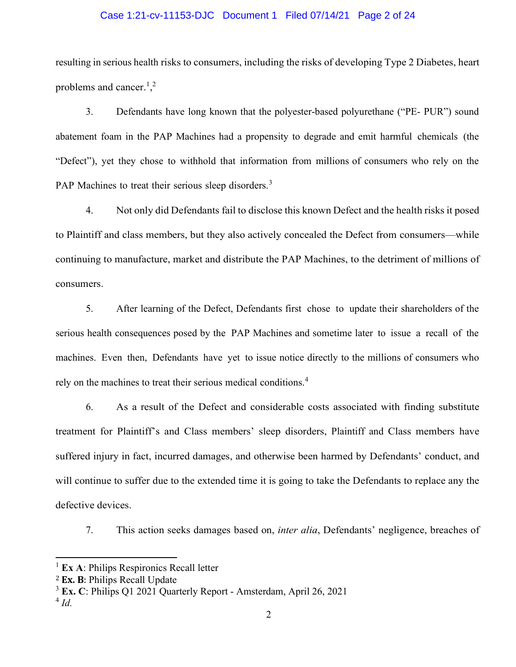#### Case 1:21-cv-11153-DJC Document 1 Filed 07/14/21 Page 2 of 24

resulting in serious health risks to consumers, including the risks of developing Type 2 Diabetes, heart problems and cancer.<sup>1</sup>,<sup>2</sup>  $\frac{2}{2}$ 

3. Defendants have long known that the polyester-based polyurethane ("PE- PUR") sound abatement foam in the PAP Machines had a propensity to degrade and emit harmful chemicals (the "Defect"), yet they chose to withhold that information from millions of consumers who rely on the PAP Machines to treat their serious sleep disorders.<sup>3</sup>

4. Not only did Defendants fail to disclose this known Defect and the health risks it posed to Plaintiff and class members, but they also actively concealed the Defect from consumers—while continuing to manufacture, market and distribute the PAP Machines, to the detriment of millions of consumers.

5. After learning of the Defect, Defendants first chose to update their shareholders of the serious health consequences posed by the PAP Machines and sometime later to issue a recall of the machines. Even then, Defendants have yet to issue notice directly to the millions of consumers who rely on the machines to treat their serious medical conditions.<sup>4</sup>

6. As a result of the Defect and considerable costs associated with finding substitute treatment for Plaintiff's and Class members' sleep disorders, Plaintiff and Class members have suffered injury in fact, incurred damages, and otherwise been harmed by Defendants' conduct, and will continue to suffer due to the extended time it is going to take the Defendants to replace any the defective devices.

7. This action seeks damages based on, inter alia, Defendants' negligence, breaches of

 $1$  Ex A: Philips Respironics Recall letter

<sup>2</sup> Ex. B: Philips Recall Update

<sup>3</sup> Ex. C: Philips Q1 2021 Quarterly Report - Amsterdam, April 26, 2021

 $4$  Id.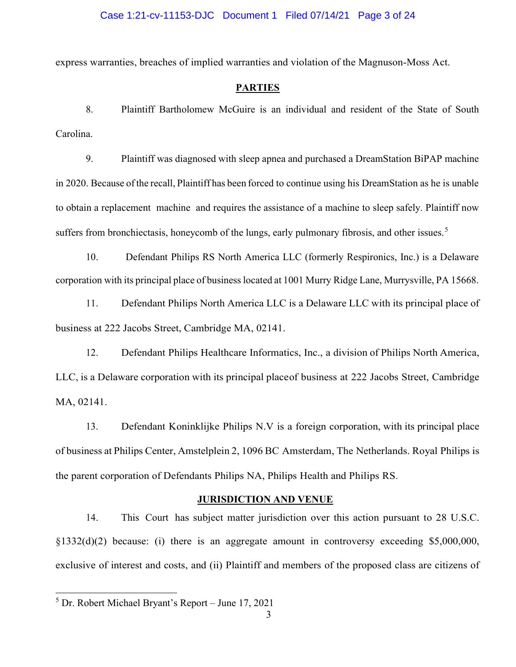express warranties, breaches of implied warranties and violation of the Magnuson-Moss Act.

#### **PARTIES**

8. Plaintiff Bartholomew McGuire is an individual and resident of the State of South Carolina.

9. Plaintiff was diagnosed with sleep apnea and purchased a DreamStation BiPAP machine in 2020. Because of the recall, Plaintiff has been forced to continue using his DreamStation as he is unable to obtain a replacement machine and requires the assistance of a machine to sleep safely. Plaintiff now suffers from bronchiectasis, honeycomb of the lungs, early pulmonary fibrosis, and other issues.<sup>5</sup>

10. Defendant Philips RS North America LLC (formerly Respironics, Inc.) is a Delaware corporation with its principal place of business located at 1001 Murry Ridge Lane, Murrysville, PA 15668.

11. Defendant Philips North America LLC is a Delaware LLC with its principal place of business at 222 Jacobs Street, Cambridge MA, 02141.

12. Defendant Philips Healthcare Informatics, Inc., a division of Philips North America, LLC, is a Delaware corporation with its principal place of business at 222 Jacobs Street, Cambridge MA, 02141.

13. Defendant Koninklijke Philips N.V is a foreign corporation, with its principal place of business at Philips Center, Amstelplein 2, 1096 BC Amsterdam, The Netherlands. Royal Philips is the parent corporation of Defendants Philips NA, Philips Health and Philips RS.

#### JURISDICTION AND VENUE

14. This Court has subject matter jurisdiction over this action pursuant to 28 U.S.C. §1332(d)(2) because: (i) there is an aggregate amount in controversy exceeding \$5,000,000, exclusive of interest and costs, and (ii) Plaintiff and members of the proposed class are citizens of

<sup>5</sup> Dr. Robert Michael Bryant's Report – June 17, 2021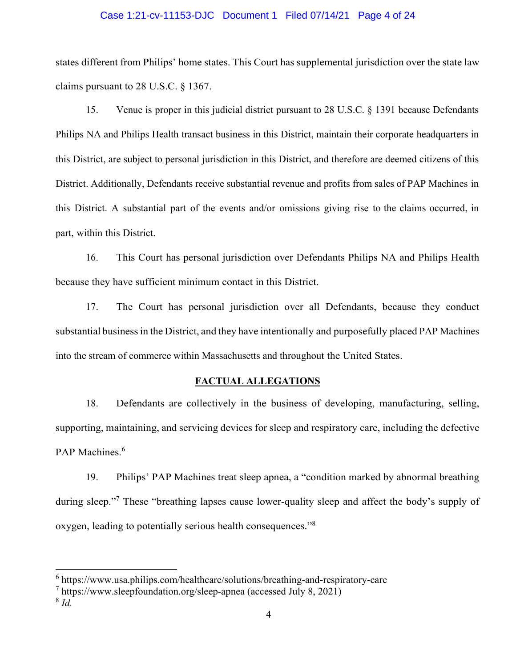## Case 1:21-cv-11153-DJC Document 1 Filed 07/14/21 Page 4 of 24

states different from Philips' home states. This Court has supplemental jurisdiction over the state law claims pursuant to 28 U.S.C. § 1367.

15. Venue is proper in this judicial district pursuant to 28 U.S.C. § 1391 because Defendants Philips NA and Philips Health transact business in this District, maintain their corporate headquarters in this District, are subject to personal jurisdiction in this District, and therefore are deemed citizens of this District. Additionally, Defendants receive substantial revenue and profits from sales of PAP Machines in this District. A substantial part of the events and/or omissions giving rise to the claims occurred, in part, within this District.

16. This Court has personal jurisdiction over Defendants Philips NA and Philips Health because they have sufficient minimum contact in this District.

17. The Court has personal jurisdiction over all Defendants, because they conduct substantial business in the District, and they have intentionally and purposefully placed PAP Machines into the stream of commerce within Massachusetts and throughout the United States.

# FACTUAL ALLEGATIONS

18. Defendants are collectively in the business of developing, manufacturing, selling, supporting, maintaining, and servicing devices for sleep and respiratory care, including the defective PAP Machines.<sup>6</sup>

19. Philips' PAP Machines treat sleep apnea, a "condition marked by abnormal breathing during sleep."<sup>7</sup> These "breathing lapses cause lower-quality sleep and affect the body's supply of oxygen, leading to potentially serious health consequences."8

<sup>6</sup> https://www.usa.philips.com/healthcare/solutions/breathing-and-respiratory-care

<sup>7</sup> https://www.sleepfoundation.org/sleep-apnea (accessed July 8, 2021)

 $8$  Id.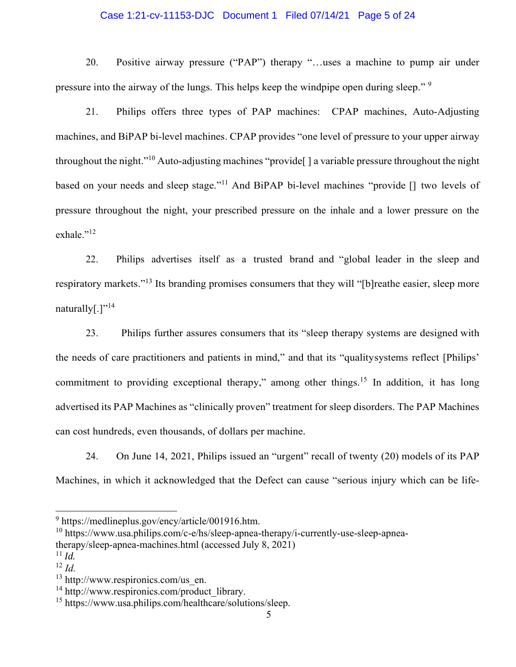# Case 1:21-cv-11153-DJC Document 1 Filed 07/14/21 Page 5 of 24

20. Positive airway pressure ("PAP") therapy "…uses a machine to pump air under pressure into the airway of the lungs. This helps keep the windpipe open during sleep."<sup>9</sup>

21. Philips offers three types of PAP machines: CPAP machines, Auto-Adjusting machines, and BiPAP bi-level machines. CPAP provides "one level of pressure to your upper airway throughout the night."<sup>10</sup> Auto-adjusting machines "provide[ ] a variable pressure throughout the night based on your needs and sleep stage."<sup>11</sup> And BiPAP bi-level machines "provide [] two levels of pressure throughout the night, your prescribed pressure on the inhale and a lower pressure on the exhale."<sup>12</sup>

22. Philips advertises itself as a trusted brand and "global leader in the sleep and respiratory markets."<sup>13</sup> Its branding promises consumers that they will "[b]reathe easier, sleep more naturally $[.]$ "<sup>14</sup>

23. Philips further assures consumers that its "sleep therapy systems are designed with the needs of care practitioners and patients in mind," and that its "quality systems reflect [Philips' commitment to providing exceptional therapy," among other things.<sup>15</sup> In addition, it has long advertised its PAP Machines as "clinically proven" treatment for sleep disorders. The PAP Machines can cost hundreds, even thousands, of dollars per machine.

24. On June 14, 2021, Philips issued an "urgent" recall of twenty (20) models of its PAP Machines, in which it acknowledged that the Defect can cause "serious injury which can be life-

<sup>9</sup> https://medlineplus.gov/ency/article/001916.htm.

 $10$  https://www.usa.philips.com/c-e/hs/sleep-apnea-therapy/i-currently-use-sleep-apneatherapy/sleep-apnea-machines.html (accessed July 8, 2021)

 $11$  *Id.* 

 $12$  *Id.* 

<sup>&</sup>lt;sup>13</sup> http://www.respironics.com/us en.

<sup>&</sup>lt;sup>14</sup> http://www.respironics.com/product\_library.

<sup>15</sup> https://www.usa.philips.com/healthcare/solutions/sleep.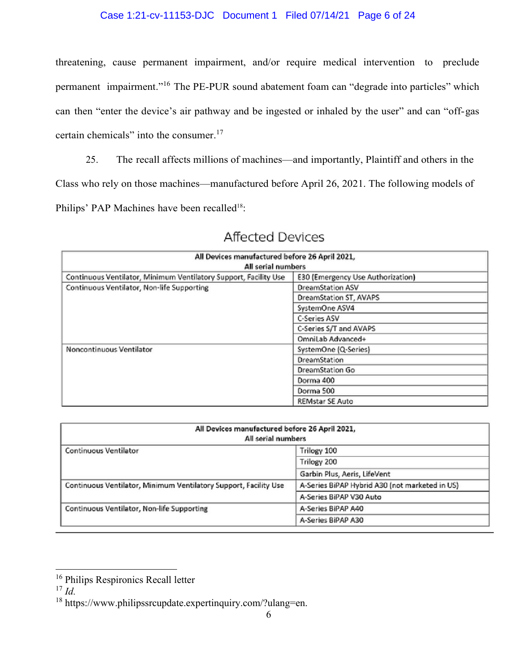# Case 1:21-cv-11153-DJC Document 1 Filed 07/14/21 Page 6 of 24

threatening, cause permanent impairment, and/or require medical intervention to preclude permanent impairment."16 The PE-PUR sound abatement foam can "degrade into particles" which can then "enter the device's air pathway and be ingested or inhaled by the user" and can "off- gas certain chemicals" into the consumer.<sup>17</sup>

25. The recall affects millions of machines—and importantly, Plaintiff and others in the Class who rely on those machines—manufactured before April 26, 2021. The following models of

Philips' PAP Machines have been recalled<sup>18</sup>:

| All Devices manufactured before 26 April 2021,                   |                                   |
|------------------------------------------------------------------|-----------------------------------|
| All serial numbers                                               |                                   |
| Continuous Ventilator, Minimum Ventilatory Support, Facility Use | E30 (Emergency Use Authorization) |
| Continuous Ventilator, Non-life Supporting                       | <b>DreamStation ASV</b>           |
|                                                                  | DreamStation ST, AVAPS            |
|                                                                  | SystemOne ASV4                    |
|                                                                  | C-Series ASV                      |
|                                                                  | C-Series S/T and AVAPS            |
|                                                                  | OmniLab Advanced+                 |
| Noncontinuous Ventilator                                         | SystemOne (Q-Series)              |
|                                                                  | DreamStation                      |
|                                                                  | DreamStation Go                   |
|                                                                  | Dorma 400                         |
|                                                                  | Dorma 500                         |
|                                                                  | <b>REMstar SE Auto</b>            |

# **Affected Devices**

| All Devices manufactured before 26 April 2021,<br>All serial numbers |                                                |
|----------------------------------------------------------------------|------------------------------------------------|
| Continuous Ventilator                                                | Trilogy 100                                    |
|                                                                      | Trilogy 200                                    |
|                                                                      | Garbin Plus, Aeris, LifeVent                   |
| Continuous Ventilator, Minimum Ventilatory Support, Facility Use     | A-Series BiPAP Hybrid A30 (not marketed in US) |
|                                                                      | A-Series BiPAP V30 Auto                        |
| Continuous Ventilator, Non-life Supporting                           | A-Series BiPAP A40                             |
|                                                                      | A-Series BiPAP A30                             |

<sup>&</sup>lt;sup>16</sup> Philips Respironics Recall letter

 $17$  *Id.* 

<sup>18</sup> https://www.philipssrcupdate.expertinquiry.com/?ulang=en.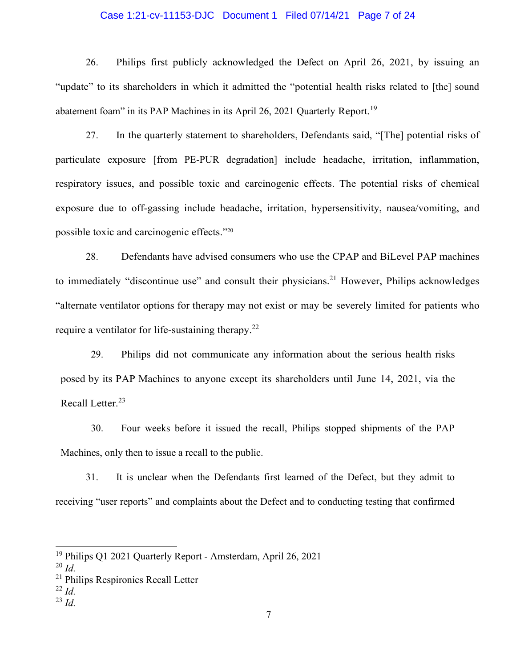#### Case 1:21-cv-11153-DJC Document 1 Filed 07/14/21 Page 7 of 24

26. Philips first publicly acknowledged the Defect on April 26, 2021, by issuing an "update" to its shareholders in which it admitted the "potential health risks related to [the] sound abatement foam" in its PAP Machines in its April 26, 2021 Quarterly Report.19

27. In the quarterly statement to shareholders, Defendants said, "[The] potential risks of particulate exposure [from PE-PUR degradation] include headache, irritation, inflammation, respiratory issues, and possible toxic and carcinogenic effects. The potential risks of chemical exposure due to off-gassing include headache, irritation, hypersensitivity, nausea/vomiting, and possible toxic and carcinogenic effects."<sup>20</sup>

28. Defendants have advised consumers who use the CPAP and BiLevel PAP machines to immediately "discontinue use" and consult their physicians.<sup>21</sup> However, Philips acknowledges "alternate ventilator options for therapy may not exist or may be severely limited for patients who require a ventilator for life-sustaining therapy.<sup>22</sup>

29. Philips did not communicate any information about the serious health risks posed by its PAP Machines to anyone except its shareholders until June 14, 2021, via the Recall Letter.<sup>23</sup>

30. Four weeks before it issued the recall, Philips stopped shipments of the PAP Machines, only then to issue a recall to the public.

31. It is unclear when the Defendants first learned of the Defect, but they admit to receiving "user reports" and complaints about the Defect and to conducting testing that confirmed

<sup>19</sup> Philips Q1 2021 Quarterly Report - Amsterdam, April 26, 2021

 $^{20}$  *Id.* 

<sup>21</sup> Philips Respironics Recall Letter

 $^{22}$  Id.

 $^{23}$  *Id.*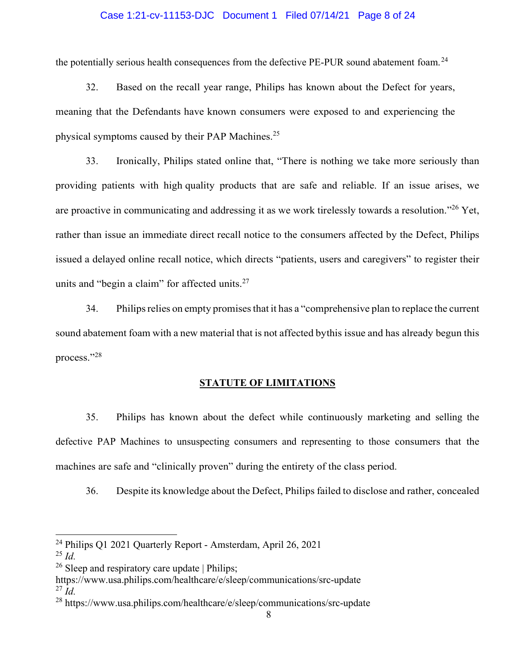# Case 1:21-cv-11153-DJC Document 1 Filed 07/14/21 Page 8 of 24

the potentially serious health consequences from the defective PE-PUR sound abatement foam.<sup>24</sup>

32. Based on the recall year range, Philips has known about the Defect for years, meaning that the Defendants have known consumers were exposed to and experiencing the physical symptoms caused by their PAP Machines.<sup>25</sup>

33. Ironically, Philips stated online that, "There is nothing we take more seriously than providing patients with high quality products that are safe and reliable. If an issue arises, we are proactive in communicating and addressing it as we work tirelessly towards a resolution."26 Yet, rather than issue an immediate direct recall notice to the consumers affected by the Defect, Philips issued a delayed online recall notice, which directs "patients, users and caregivers" to register their units and "begin a claim" for affected units. $27$ 

34. Philips relies on empty promises that it has a "comprehensive plan to replace the current sound abatement foam with a new material that is not affected by this issue and has already begun this process."28

#### STATUTE OF LIMITATIONS

35. Philips has known about the defect while continuously marketing and selling the defective PAP Machines to unsuspecting consumers and representing to those consumers that the machines are safe and "clinically proven" during the entirety of the class period.

36. Despite its knowledge about the Defect, Philips failed to disclose and rather, concealed

<sup>24</sup> Philips Q1 2021 Quarterly Report - Amsterdam, April 26, 2021

 $^{25}$  Id.

<sup>&</sup>lt;sup>26</sup> Sleep and respiratory care update | Philips;

https://www.usa.philips.com/healthcare/e/sleep/communications/src-update  $^{27}$  Id.

<sup>&</sup>lt;sup>28</sup> https://www.usa.philips.com/healthcare/e/sleep/communications/src-update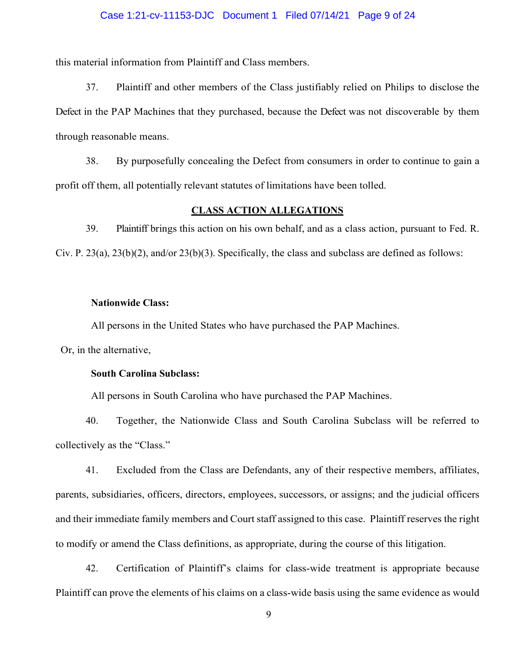#### Case 1:21-cv-11153-DJC Document 1 Filed 07/14/21 Page 9 of 24

this material information from Plaintiff and Class members.

37. Plaintiff and other members of the Class justifiably relied on Philips to disclose the Defect in the PAP Machines that they purchased, because the Defect was not discoverable by them through reasonable means.

38. By purposefully concealing the Defect from consumers in order to continue to gain a profit off them, all potentially relevant statutes of limitations have been tolled.

# CLASS ACTION ALLEGATIONS

39. Plaintiff brings this action on his own behalf, and as a class action, pursuant to Fed. R. Civ. P. 23(a), 23(b)(2), and/or 23(b)(3). Specifically, the class and subclass are defined as follows:

### Nationwide Class:

All persons in the United States who have purchased the PAP Machines.

Or, in the alternative,

#### South Carolina Subclass:

All persons in South Carolina who have purchased the PAP Machines.

40. Together, the Nationwide Class and South Carolina Subclass will be referred to collectively as the "Class."

41. Excluded from the Class are Defendants, any of their respective members, affiliates, parents, subsidiaries, officers, directors, employees, successors, or assigns; and the judicial officers and their immediate family members and Court staff assigned to this case. Plaintiff reserves the right to modify or amend the Class definitions, as appropriate, during the course of this litigation.

42. Certification of Plaintiff's claims for class-wide treatment is appropriate because Plaintiff can prove the elements of his claims on a class-wide basis using the same evidence as would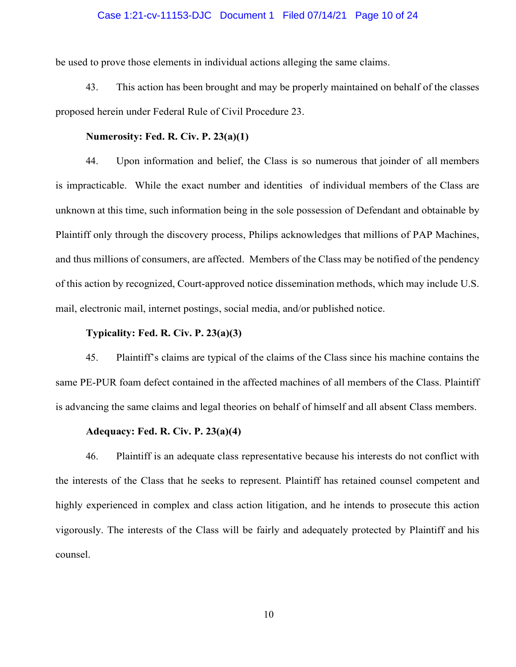#### Case 1:21-cv-11153-DJC Document 1 Filed 07/14/21 Page 10 of 24

be used to prove those elements in individual actions alleging the same claims.

43. This action has been brought and may be properly maintained on behalf of the classes proposed herein under Federal Rule of Civil Procedure 23.

#### Numerosity: Fed. R. Civ. P. 23(a)(1)

44. Upon information and belief, the Class is so numerous that joinder of all members is impracticable. While the exact number and identities of individual members of the Class are unknown at this time, such information being in the sole possession of Defendant and obtainable by Plaintiff only through the discovery process, Philips acknowledges that millions of PAP Machines, and thus millions of consumers, are affected. Members of the Class may be notified of the pendency of this action by recognized, Court-approved notice dissemination methods, which may include U.S. mail, electronic mail, internet postings, social media, and/or published notice.

# Typicality: Fed. R. Civ. P. 23(a)(3)

45. Plaintiff's claims are typical of the claims of the Class since his machine contains the same PE-PUR foam defect contained in the affected machines of all members of the Class. Plaintiff is advancing the same claims and legal theories on behalf of himself and all absent Class members.

# Adequacy: Fed. R. Civ. P. 23(a)(4)

46. Plaintiff is an adequate class representative because his interests do not conflict with the interests of the Class that he seeks to represent. Plaintiff has retained counsel competent and highly experienced in complex and class action litigation, and he intends to prosecute this action vigorously. The interests of the Class will be fairly and adequately protected by Plaintiff and his counsel.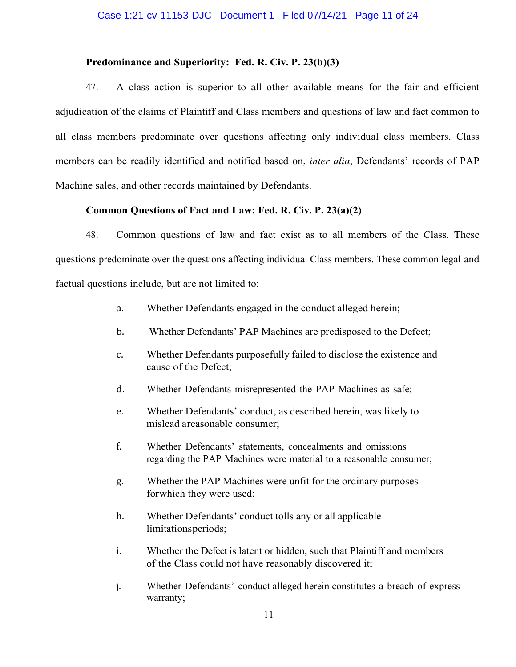#### Predominance and Superiority: Fed. R. Civ. P. 23(b)(3)

47. A class action is superior to all other available means for the fair and efficient adjudication of the claims of Plaintiff and Class members and questions of law and fact common to all class members predominate over questions affecting only individual class members. Class members can be readily identified and notified based on, *inter alia*, Defendants' records of PAP Machine sales, and other records maintained by Defendants.

# Common Questions of Fact and Law: Fed. R. Civ. P. 23(a)(2)

48. Common questions of law and fact exist as to all members of the Class. These questions predominate over the questions affecting individual Class members. These common legal and factual questions include, but are not limited to:

- a. Whether Defendants engaged in the conduct alleged herein;
- b. Whether Defendants' PAP Machines are predisposed to the Defect;
- c. Whether Defendants purposefully failed to disclose the existence and cause of the Defect;
- d. Whether Defendants misrepresented the PAP Machines as safe;
- e. Whether Defendants' conduct, as described herein, was likely to mislead a reasonable consumer;
- f. Whether Defendants' statements, concealments and omissions regarding the PAP Machines were material to a reasonable consumer;
- g. Whether the PAP Machines were unfit for the ordinary purposes for which they were used;
- h. Whether Defendants' conduct tolls any or all applicable limitations periods;
- i. Whether the Defect is latent or hidden, such that Plaintiff and members of the Class could not have reasonably discovered it;
- j. Whether Defendants' conduct alleged herein constitutes a breach of express warranty;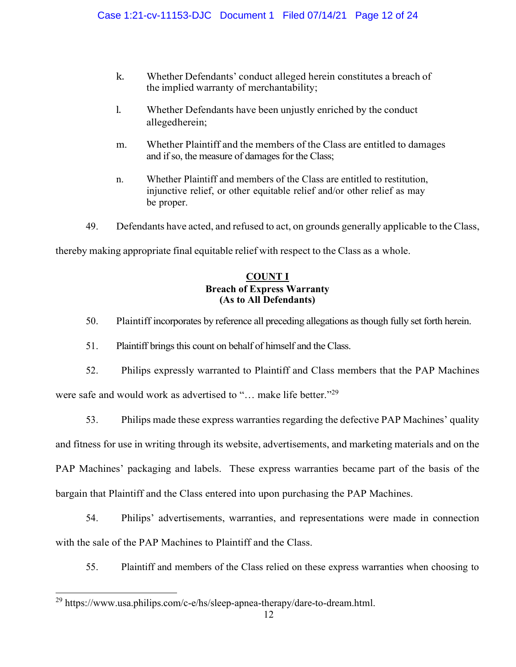- k. Whether Defendants' conduct alleged herein constitutes a breach of the implied warranty of merchantability;
- l. Whether Defendants have been unjustly enriched by the conduct alleged herein;
- m. Whether Plaintiff and the members of the Class are entitled to damages and if so, the measure of damages for the Class;
- n. Whether Plaintiff and members of the Class are entitled to restitution, injunctive relief, or other equitable relief and/or other relief as may be proper.
- 49. Defendants have acted, and refused to act, on grounds generally applicable to the Class,

thereby making appropriate final equitable relief with respect to the Class as a whole.

# COUNT I Breach of Express Warranty (As to All Defendants)

- 50. Plaintiff incorporates by reference all preceding allegations as though fully set forth herein.
- 51. Plaintiff brings this count on behalf of himself and the Class.
- 52. Philips expressly warranted to Plaintiff and Class members that the PAP Machines were safe and would work as advertised to "... make life better."<sup>29</sup>

53. Philips made these express warranties regarding the defective PAP Machines' quality

and fitness for use in writing through its website, advertisements, and marketing materials and on the PAP Machines' packaging and labels. These express warranties became part of the basis of the bargain that Plaintiff and the Class entered into upon purchasing the PAP Machines.

54. Philips' advertisements, warranties, and representations were made in connection with the sale of the PAP Machines to Plaintiff and the Class.

55. Plaintiff and members of the Class relied on these express warranties when choosing to

<sup>&</sup>lt;sup>29</sup> https://www.usa.philips.com/c-e/hs/sleep-apnea-therapy/dare-to-dream.html.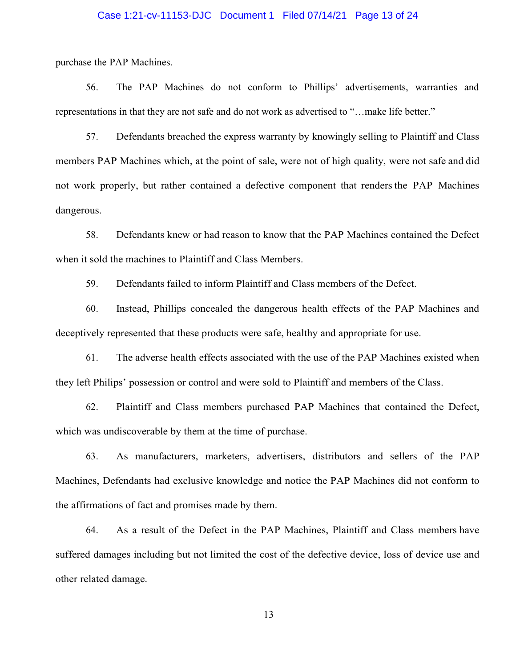#### Case 1:21-cv-11153-DJC Document 1 Filed 07/14/21 Page 13 of 24

purchase the PAP Machines.

56. The PAP Machines do not conform to Phillips' advertisements, warranties and representations in that they are not safe and do not work as advertised to "…make life better."

57. Defendants breached the express warranty by knowingly selling to Plaintiff and Class members PAP Machines which, at the point of sale, were not of high quality, were not safe and did not work properly, but rather contained a defective component that renders the PAP Machines dangerous.

58. Defendants knew or had reason to know that the PAP Machines contained the Defect when it sold the machines to Plaintiff and Class Members.

59. Defendants failed to inform Plaintiff and Class members of the Defect.

60. Instead, Phillips concealed the dangerous health effects of the PAP Machines and deceptively represented that these products were safe, healthy and appropriate for use.

61. The adverse health effects associated with the use of the PAP Machines existed when they left Philips' possession or control and were sold to Plaintiff and members of the Class.

62. Plaintiff and Class members purchased PAP Machines that contained the Defect, which was undiscoverable by them at the time of purchase.

63. As manufacturers, marketers, advertisers, distributors and sellers of the PAP Machines, Defendants had exclusive knowledge and notice the PAP Machines did not conform to the affirmations of fact and promises made by them.

64. As a result of the Defect in the PAP Machines, Plaintiff and Class members have suffered damages including but not limited the cost of the defective device, loss of device use and other related damage.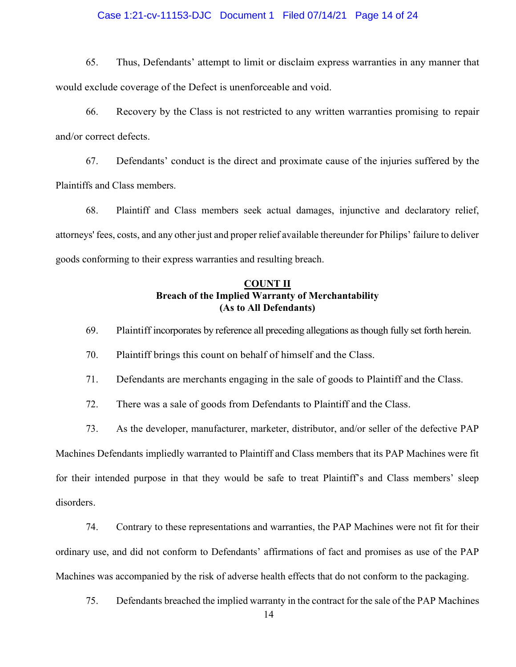#### Case 1:21-cv-11153-DJC Document 1 Filed 07/14/21 Page 14 of 24

65. Thus, Defendants' attempt to limit or disclaim express warranties in any manner that would exclude coverage of the Defect is unenforceable and void.

66. Recovery by the Class is not restricted to any written warranties promising to repair and/or correct defects.

67. Defendants' conduct is the direct and proximate cause of the injuries suffered by the Plaintiffs and Class members.

68. Plaintiff and Class members seek actual damages, injunctive and declaratory relief, attorneys' fees, costs, and any other just and proper relief available thereunder for Philips' failure to deliver goods conforming to their express warranties and resulting breach.

# COUNT II Breach of the Implied Warranty of Merchantability (As to All Defendants)

69. Plaintiff incorporates by reference all preceding allegations as though fully set forth herein.

70. Plaintiff brings this count on behalf of himself and the Class.

71. Defendants are merchants engaging in the sale of goods to Plaintiff and the Class.

72. There was a sale of goods from Defendants to Plaintiff and the Class.

73. As the developer, manufacturer, marketer, distributor, and/or seller of the defective PAP Machines Defendants impliedly warranted to Plaintiff and Class members that its PAP Machines were fit for their intended purpose in that they would be safe to treat Plaintiff's and Class members' sleep disorders.

74. Contrary to these representations and warranties, the PAP Machines were not fit for their ordinary use, and did not conform to Defendants' affirmations of fact and promises as use of the PAP Machines was accompanied by the risk of adverse health effects that do not conform to the packaging.

75. Defendants breached the implied warranty in the contract for the sale of the PAP Machines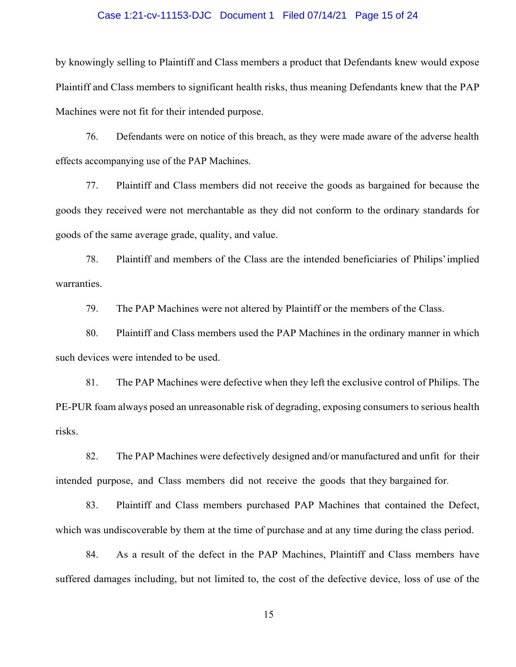# Case 1:21-cv-11153-DJC Document 1 Filed 07/14/21 Page 15 of 24

by knowingly selling to Plaintiff and Class members a product that Defendants knew would expose Plaintiff and Class members to significant health risks, thus meaning Defendants knew that the PAP Machines were not fit for their intended purpose.

76. Defendants were on notice of this breach, as they were made aware of the adverse health effects accompanying use of the PAP Machines.

77. Plaintiff and Class members did not receive the goods as bargained for because the goods they received were not merchantable as they did not conform to the ordinary standards for goods of the same average grade, quality, and value.

78. Plaintiff and members of the Class are the intended beneficiaries of Philips' implied warranties.

79. The PAP Machines were not altered by Plaintiff or the members of the Class.

80. Plaintiff and Class members used the PAP Machines in the ordinary manner in which such devices were intended to be used.

81. The PAP Machines were defective when they left the exclusive control of Philips. The PE-PUR foam always posed an unreasonable risk of degrading, exposing consumers to serious health risks.

82. The PAP Machines were defectively designed and/or manufactured and unfit for their intended purpose, and Class members did not receive the goods that they bargained for.

83. Plaintiff and Class members purchased PAP Machines that contained the Defect, which was undiscoverable by them at the time of purchase and at any time during the class period.

84. As a result of the defect in the PAP Machines, Plaintiff and Class members have suffered damages including, but not limited to, the cost of the defective device, loss of use of the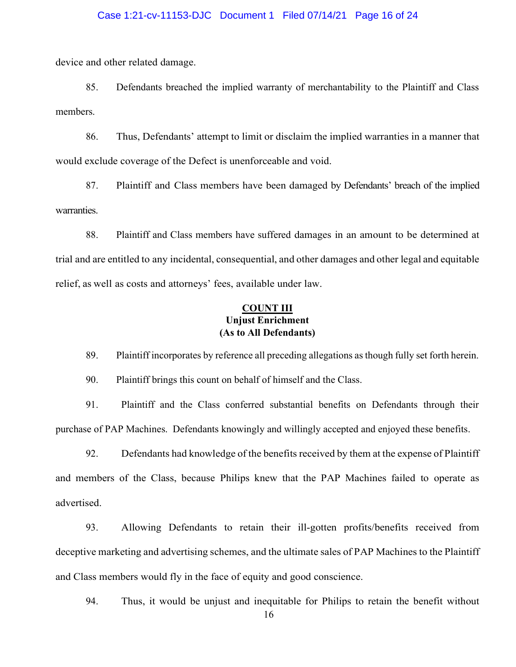#### Case 1:21-cv-11153-DJC Document 1 Filed 07/14/21 Page 16 of 24

device and other related damage.

85. Defendants breached the implied warranty of merchantability to the Plaintiff and Class members.

86. Thus, Defendants' attempt to limit or disclaim the implied warranties in a manner that would exclude coverage of the Defect is unenforceable and void.

87. Plaintiff and Class members have been damaged by Defendants' breach of the implied warranties.

88. Plaintiff and Class members have suffered damages in an amount to be determined at trial and are entitled to any incidental, consequential, and other damages and other legal and equitable relief, as well as costs and attorneys' fees, available under law.

# COUNT III Unjust Enrichment (As to All Defendants)

89. Plaintiff incorporates by reference all preceding allegations as though fully set forth herein.

90. Plaintiff brings this count on behalf of himself and the Class.

91. Plaintiff and the Class conferred substantial benefits on Defendants through their purchase of PAP Machines. Defendants knowingly and willingly accepted and enjoyed these benefits.

92. Defendants had knowledge of the benefits received by them at the expense of Plaintiff and members of the Class, because Philips knew that the PAP Machines failed to operate as advertised.

93. Allowing Defendants to retain their ill-gotten profits/benefits received from deceptive marketing and advertising schemes, and the ultimate sales of PAP Machines to the Plaintiff and Class members would fly in the face of equity and good conscience.

94. Thus, it would be unjust and inequitable for Philips to retain the benefit without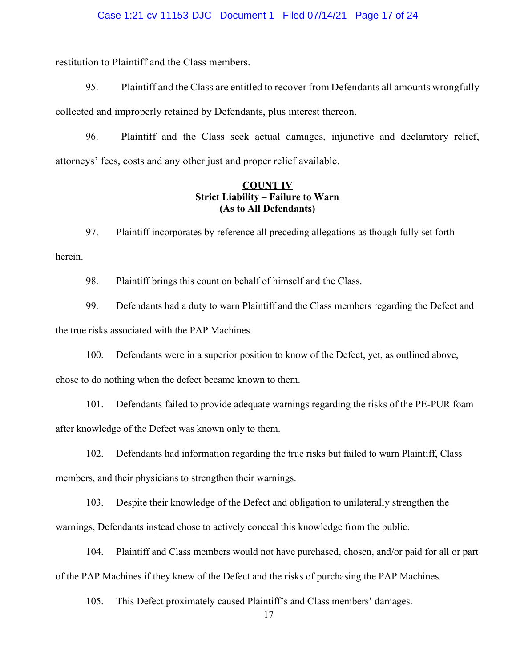#### Case 1:21-cv-11153-DJC Document 1 Filed 07/14/21 Page 17 of 24

restitution to Plaintiff and the Class members.

95. Plaintiff and the Class are entitled to recover from Defendants all amounts wrongfully collected and improperly retained by Defendants, plus interest thereon.

96. Plaintiff and the Class seek actual damages, injunctive and declaratory relief, attorneys' fees, costs and any other just and proper relief available.

# COUNT IV Strict Liability – Failure to Warn (As to All Defendants)

97. Plaintiff incorporates by reference all preceding allegations as though fully set forth herein.

98. Plaintiff brings this count on behalf of himself and the Class.

99. Defendants had a duty to warn Plaintiff and the Class members regarding the Defect and the true risks associated with the PAP Machines.

100. Defendants were in a superior position to know of the Defect, yet, as outlined above,

chose to do nothing when the defect became known to them.

101. Defendants failed to provide adequate warnings regarding the risks of the PE-PUR foam after knowledge of the Defect was known only to them.

102. Defendants had information regarding the true risks but failed to warn Plaintiff, Class members, and their physicians to strengthen their warnings.

103. Despite their knowledge of the Defect and obligation to unilaterally strengthen the warnings, Defendants instead chose to actively conceal this knowledge from the public.

104. Plaintiff and Class members would not have purchased, chosen, and/or paid for all or part of the PAP Machines if they knew of the Defect and the risks of purchasing the PAP Machines.

105. This Defect proximately caused Plaintiff's and Class members' damages.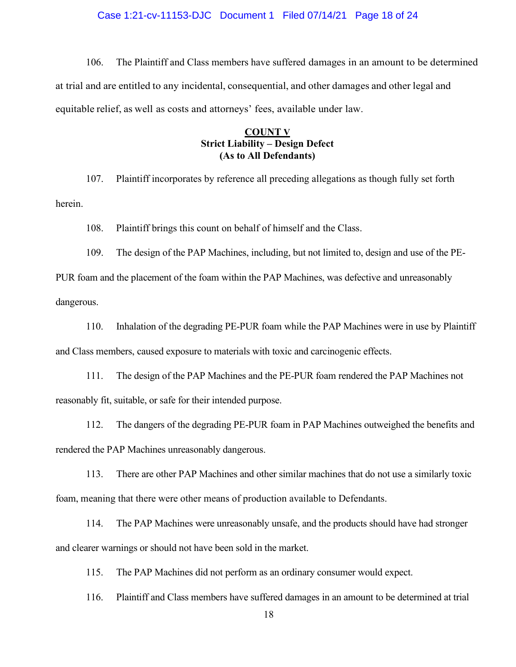#### Case 1:21-cv-11153-DJC Document 1 Filed 07/14/21 Page 18 of 24

106. The Plaintiff and Class members have suffered damages in an amount to be determined at trial and are entitled to any incidental, consequential, and other damages and other legal and equitable relief, as well as costs and attorneys' fees, available under law.

#### COUNT V Strict Liability – Design Defect (As to All Defendants)

107. Plaintiff incorporates by reference all preceding allegations as though fully set forth herein.

108. Plaintiff brings this count on behalf of himself and the Class.

109. The design of the PAP Machines, including, but not limited to, design and use of the PE-

PUR foam and the placement of the foam within the PAP Machines, was defective and unreasonably

dangerous.

110. Inhalation of the degrading PE-PUR foam while the PAP Machines were in use by Plaintiff and Class members, caused exposure to materials with toxic and carcinogenic effects.

111. The design of the PAP Machines and the PE-PUR foam rendered the PAP Machines not reasonably fit, suitable, or safe for their intended purpose.

112. The dangers of the degrading PE-PUR foam in PAP Machines outweighed the benefits and rendered the PAP Machines unreasonably dangerous.

113. There are other PAP Machines and other similar machines that do not use a similarly toxic foam, meaning that there were other means of production available to Defendants.

114. The PAP Machines were unreasonably unsafe, and the products should have had stronger and clearer warnings or should not have been sold in the market.

115. The PAP Machines did not perform as an ordinary consumer would expect.

116. Plaintiff and Class members have suffered damages in an amount to be determined at trial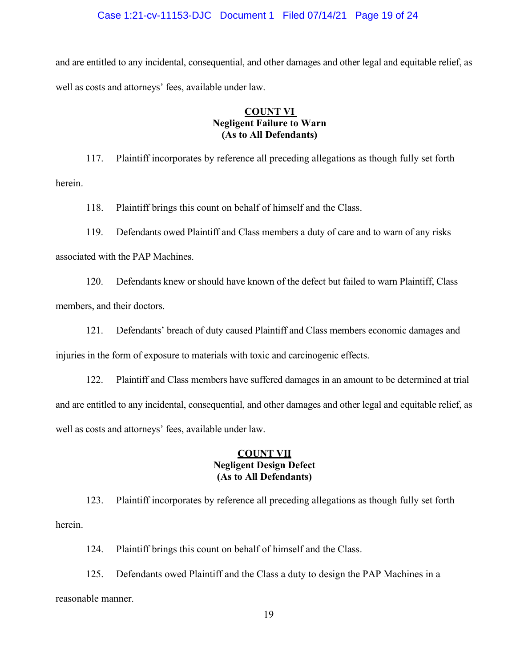#### Case 1:21-cv-11153-DJC Document 1 Filed 07/14/21 Page 19 of 24

and are entitled to any incidental, consequential, and other damages and other legal and equitable relief, as well as costs and attorneys' fees, available under law.

# COUNT VI Negligent Failure to Warn (As to All Defendants)

117. Plaintiff incorporates by reference all preceding allegations as though fully set forth herein.

118. Plaintiff brings this count on behalf of himself and the Class.

119. Defendants owed Plaintiff and Class members a duty of care and to warn of any risks associated with the PAP Machines.

120. Defendants knew or should have known of the defect but failed to warn Plaintiff, Class members, and their doctors.

121. Defendants' breach of duty caused Plaintiff and Class members economic damages and injuries in the form of exposure to materials with toxic and carcinogenic effects.

122. Plaintiff and Class members have suffered damages in an amount to be determined at trial and are entitled to any incidental, consequential, and other damages and other legal and equitable relief, as well as costs and attorneys' fees, available under law.

# COUNT VII Negligent Design Defect (As to All Defendants)

123. Plaintiff incorporates by reference all preceding allegations as though fully set forth herein.

124. Plaintiff brings this count on behalf of himself and the Class.

125. Defendants owed Plaintiff and the Class a duty to design the PAP Machines in a reasonable manner.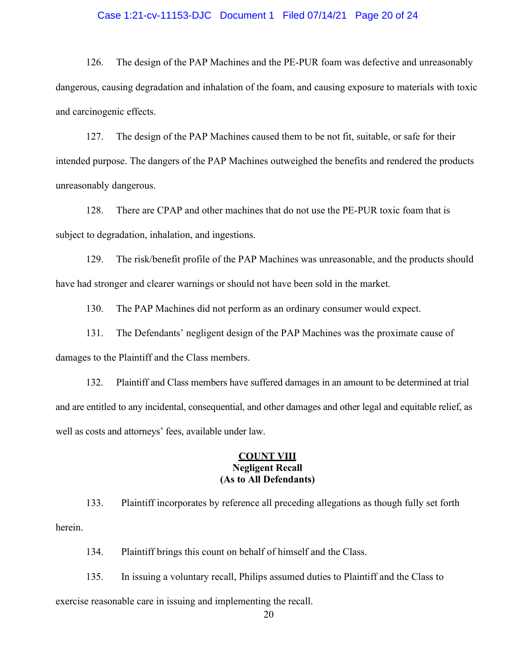#### Case 1:21-cv-11153-DJC Document 1 Filed 07/14/21 Page 20 of 24

126. The design of the PAP Machines and the PE-PUR foam was defective and unreasonably dangerous, causing degradation and inhalation of the foam, and causing exposure to materials with toxic and carcinogenic effects.

127. The design of the PAP Machines caused them to be not fit, suitable, or safe for their intended purpose. The dangers of the PAP Machines outweighed the benefits and rendered the products unreasonably dangerous.

128. There are CPAP and other machines that do not use the PE-PUR toxic foam that is subject to degradation, inhalation, and ingestions.

129. The risk/benefit profile of the PAP Machines was unreasonable, and the products should have had stronger and clearer warnings or should not have been sold in the market.

130. The PAP Machines did not perform as an ordinary consumer would expect.

131. The Defendants' negligent design of the PAP Machines was the proximate cause of damages to the Plaintiff and the Class members.

132. Plaintiff and Class members have suffered damages in an amount to be determined at trial and are entitled to any incidental, consequential, and other damages and other legal and equitable relief, as well as costs and attorneys' fees, available under law.

# COUNT VIII Negligent Recall (As to All Defendants)

133. Plaintiff incorporates by reference all preceding allegations as though fully set forth herein.

134. Plaintiff brings this count on behalf of himself and the Class.

135. In issuing a voluntary recall, Philips assumed duties to Plaintiff and the Class to

exercise reasonable care in issuing and implementing the recall.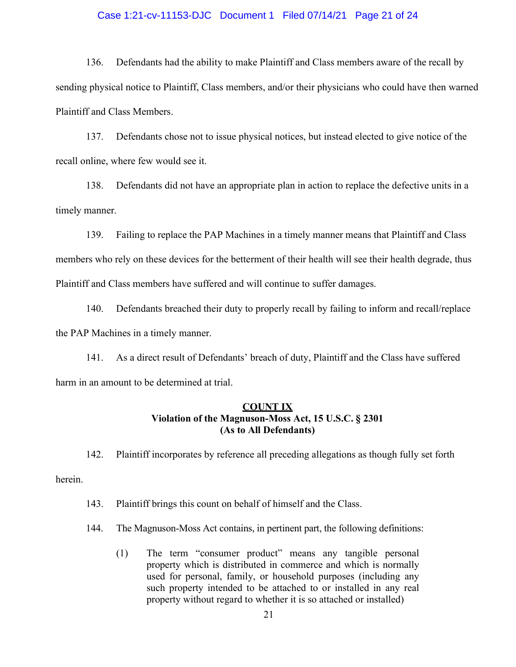#### Case 1:21-cv-11153-DJC Document 1 Filed 07/14/21 Page 21 of 24

136. Defendants had the ability to make Plaintiff and Class members aware of the recall by sending physical notice to Plaintiff, Class members, and/or their physicians who could have then warned Plaintiff and Class Members.

137. Defendants chose not to issue physical notices, but instead elected to give notice of the recall online, where few would see it.

138. Defendants did not have an appropriate plan in action to replace the defective units in a timely manner.

139. Failing to replace the PAP Machines in a timely manner means that Plaintiff and Class members who rely on these devices for the betterment of their health will see their health degrade, thus Plaintiff and Class members have suffered and will continue to suffer damages.

140. Defendants breached their duty to properly recall by failing to inform and recall/replace the PAP Machines in a timely manner.

141. As a direct result of Defendants' breach of duty, Plaintiff and the Class have suffered harm in an amount to be determined at trial.

# COUNT IX Violation of the Magnuson-Moss Act, 15 U.S.C. § 2301 (As to All Defendants)

142. Plaintiff incorporates by reference all preceding allegations as though fully set forth herein.

143. Plaintiff brings this count on behalf of himself and the Class.

144. The Magnuson-Moss Act contains, in pertinent part, the following definitions:

(1) The term "consumer product" means any tangible personal property which is distributed in commerce and which is normally used for personal, family, or household purposes (including any such property intended to be attached to or installed in any real property without regard to whether it is so attached or installed)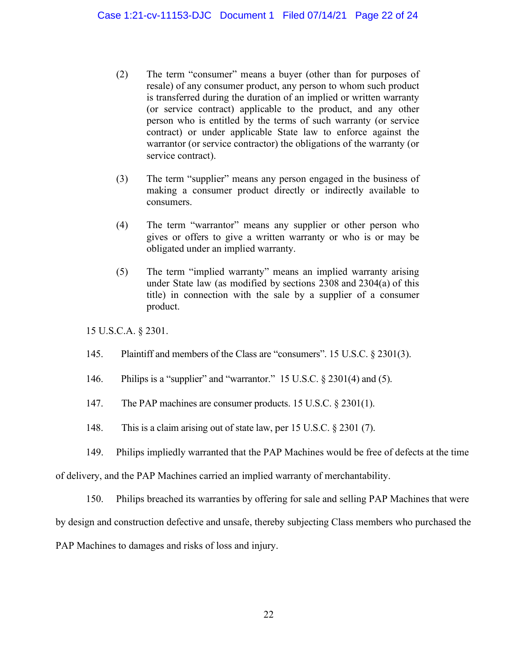- (2) The term "consumer" means a buyer (other than for purposes of resale) of any consumer product, any person to whom such product is transferred during the duration of an implied or written warranty (or service contract) applicable to the product, and any other person who is entitled by the terms of such warranty (or service contract) or under applicable State law to enforce against the warrantor (or service contractor) the obligations of the warranty (or service contract).
- (3) The term "supplier" means any person engaged in the business of making a consumer product directly or indirectly available to consumers.
- (4) The term "warrantor" means any supplier or other person who gives or offers to give a written warranty or who is or may be obligated under an implied warranty.
- (5) The term "implied warranty" means an implied warranty arising under State law (as modified by sections 2308 and 2304(a) of this title) in connection with the sale by a supplier of a consumer product.

15 U.S.C.A. § 2301.

- 145. Plaintiff and members of the Class are "consumers". 15 U.S.C. § 2301(3).
- 146. Philips is a "supplier" and "warrantor." 15 U.S.C. § 2301(4) and (5).
- 147. The PAP machines are consumer products. 15 U.S.C. § 2301(1).
- 148. This is a claim arising out of state law, per 15 U.S.C. § 2301 (7).
- 149. Philips impliedly warranted that the PAP Machines would be free of defects at the time

of delivery, and the PAP Machines carried an implied warranty of merchantability.

150. Philips breached its warranties by offering for sale and selling PAP Machines that were

by design and construction defective and unsafe, thereby subjecting Class members who purchased the

PAP Machines to damages and risks of loss and injury.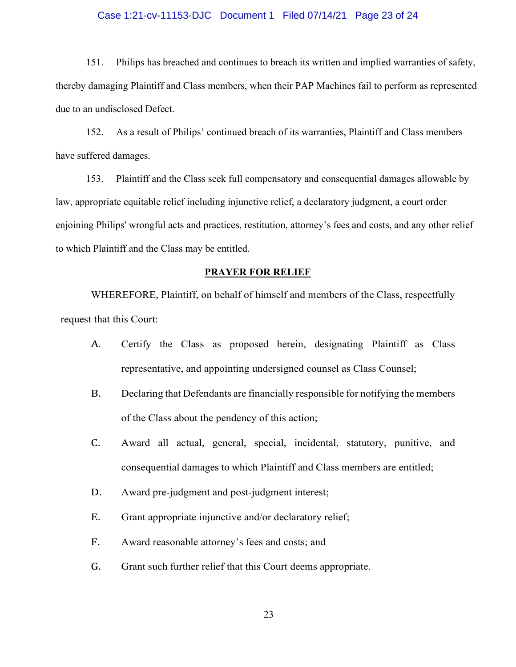#### Case 1:21-cv-11153-DJC Document 1 Filed 07/14/21 Page 23 of 24

151. Philips has breached and continues to breach its written and implied warranties of safety, thereby damaging Plaintiff and Class members, when their PAP Machines fail to perform as represented due to an undisclosed Defect.

152. As a result of Philips' continued breach of its warranties, Plaintiff and Class members have suffered damages.

153. Plaintiff and the Class seek full compensatory and consequential damages allowable by law, appropriate equitable relief including injunctive relief, a declaratory judgment, a court order enjoining Philips' wrongful acts and practices, restitution, attorney's fees and costs, and any other relief to which Plaintiff and the Class may be entitled.

#### PRAYER FOR RELIEF

WHEREFORE, Plaintiff, on behalf of himself and members of the Class, respectfully request that this Court:

- A. Certify the Class as proposed herein, designating Plaintiff as Class representative, and appointing undersigned counsel as Class Counsel;
- B. Declaring that Defendants are financially responsible for notifying the members of the Class about the pendency of this action;
- C. Award all actual, general, special, incidental, statutory, punitive, and consequential damages to which Plaintiff and Class members are entitled;
- D. Award pre-judgment and post-judgment interest;
- E. Grant appropriate injunctive and/or declaratory relief;
- F. Award reasonable attorney's fees and costs; and
- G. Grant such further relief that this Court deems appropriate.